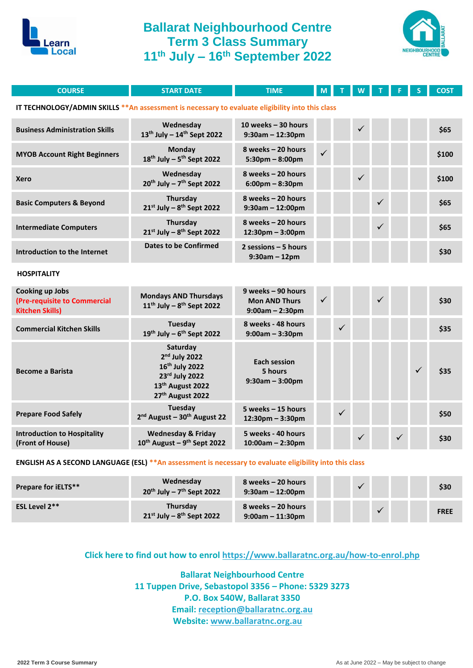

## **Ballarat Neighbourhood Centre Term 3 Class Summary 11th July – 16th September 2022**



| <b>COURSE</b>                                                                                    | <b>START DATE</b>                                                                                                                         | <b>TIME</b>                                                     | M            |              |   |              |              |   | <b>COST</b> |
|--------------------------------------------------------------------------------------------------|-------------------------------------------------------------------------------------------------------------------------------------------|-----------------------------------------------------------------|--------------|--------------|---|--------------|--------------|---|-------------|
| IT TECHNOLOGY/ADMIN SKILLS ** An assessment is necessary to evaluate eligibility into this class |                                                                                                                                           |                                                                 |              |              |   |              |              |   |             |
| <b>Business Administration Skills</b>                                                            | Wednesday<br>$13^{th}$ July - $14^{th}$ Sept 2022                                                                                         | 10 weeks $-30$ hours<br>$9:30$ am - 12:30pm                     |              |              |   |              |              |   | \$65        |
| <b>MYOB Account Right Beginners</b>                                                              | <b>Monday</b><br>$18^{th}$ July - $5^{th}$ Sept 2022                                                                                      | 8 weeks - 20 hours<br>$5:30$ pm - $8:00$ pm                     | ✓            |              |   |              |              |   | \$100       |
| <b>Xero</b>                                                                                      | Wednesday<br>$20^{th}$ July - $7^{th}$ Sept 2022                                                                                          | 8 weeks - 20 hours<br>$6:00 \text{pm} - 8:30 \text{pm}$         |              |              |   |              |              |   | \$100       |
| <b>Basic Computers &amp; Beyond</b>                                                              | Thursday<br>$21^{st}$ July - $8^{th}$ Sept 2022                                                                                           | 8 weeks - 20 hours<br>$9:30$ am - 12:00pm                       |              |              |   | ✓            |              |   | \$65        |
| <b>Intermediate Computers</b>                                                                    | Thursday<br>$21^{st}$ July - $8^{th}$ Sept 2022                                                                                           | 8 weeks - 20 hours<br>$12:30$ pm - $3:00$ pm                    |              |              |   | ✓            |              |   | \$65        |
| Introduction to the Internet                                                                     | <b>Dates to be Confirmed</b>                                                                                                              | 2 sessions $-5$ hours<br>$9:30$ am - 12pm                       |              |              |   |              |              |   | \$30        |
| <b>HOSPITALITY</b>                                                                               |                                                                                                                                           |                                                                 |              |              |   |              |              |   |             |
| Cooking up Jobs<br>(Pre-requisite to Commercial<br><b>Kitchen Skills)</b>                        | <b>Mondays AND Thursdays</b><br>$11^{th}$ July - $8^{th}$ Sept 2022                                                                       | 9 weeks - 90 hours<br><b>Mon AND Thurs</b><br>$9:00am - 2:30pm$ | $\checkmark$ |              |   | $\checkmark$ |              |   | \$30        |
| <b>Commercial Kitchen Skills</b>                                                                 | Tuesday<br>19th July - 6th Sept 2022                                                                                                      | 8 weeks - 48 hours<br>$9:00am - 3:30pm$                         |              | $\checkmark$ |   |              |              |   | \$35        |
| <b>Become a Barista</b>                                                                          | Saturday<br>2 <sup>nd</sup> July 2022<br>16th July 2022<br>23rd July 2022<br>13 <sup>th</sup> August 2022<br>27 <sup>th</sup> August 2022 | <b>Each session</b><br>5 hours<br>$9:30am - 3:00pm$             |              |              |   |              |              | ✓ | \$35        |
| <b>Prepare Food Safely</b>                                                                       | Tuesday<br>2 <sup>nd</sup> August - 30 <sup>th</sup> August 22                                                                            | 5 weeks - 15 hours<br>$12:30$ pm - $3:30$ pm                    |              | $\checkmark$ |   |              |              |   | \$50        |
| <b>Introduction to Hospitality</b><br>(Front of House)                                           | <b>Wednesday &amp; Friday</b><br>$10^{th}$ August – $9^{th}$ Sept 2022                                                                    | 5 weeks - 40 hours<br>$10:00am - 2:30pm$                        |              |              | ✓ |              | $\checkmark$ |   | \$30        |

#### **ENGLISH AS A SECOND LANGUAGE (ESL) \*\*An assessment is necessary to evaluate eligibility into this class**

| <b>Prepare for iELTS**</b> | Wednesday<br>$20^{th}$ July – 7 <sup>th</sup> Sept 2022 | 8 weeks – 20 hours<br>$9:30$ am – 12:00pm |  |  | \$30        |
|----------------------------|---------------------------------------------------------|-------------------------------------------|--|--|-------------|
| ESL Level 2**              | <b>Thursday</b><br>$21^{st}$ July – $8^{th}$ Sept 2022  | 8 weeks – 20 hours<br>$9:00$ am – 11:30pm |  |  | <b>FREE</b> |

### **Click here to find out how to enrol<https://www.ballaratnc.org.au/how-to-enrol.php>**

**Ballarat Neighbourhood Centre 11 Tuppen Drive, Sebastopol 3356 – Phone: 5329 3273 P.O. Box 540W, Ballarat 3350 Email: [reception@ballaratnc.org.au](mailto:reception@ballaratnc.org.au) Website: [www.ballaratnc.org.au](http://www.ballaratnc.org.au/)**